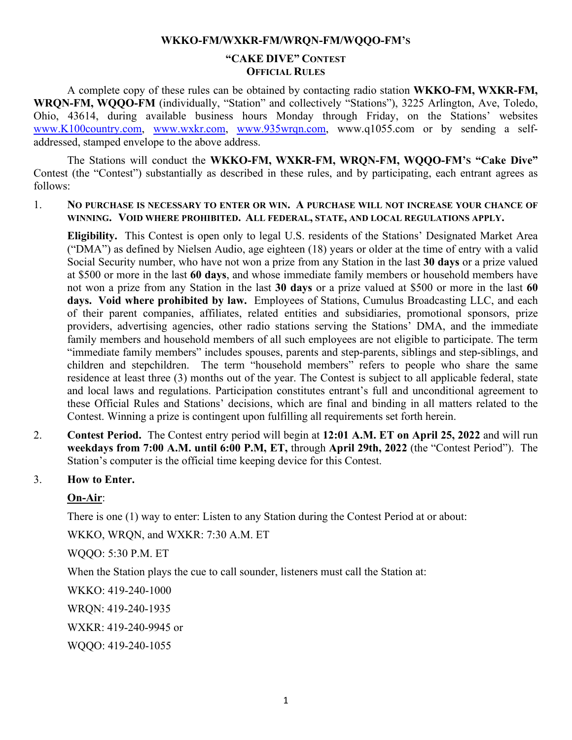#### **WKKO-FM/WXKR-FM/WRQN-FM/WQQO-FM'S**

### **"CAKE DIVE" CONTEST OFFICIAL RULES**

A complete copy of these rules can be obtained by contacting radio station **WKKO-FM, WXKR-FM, WRQN-FM, WQQO-FM** (individually, "Station" and collectively "Stations"), 3225 Arlington, Ave, Toledo, Ohio, 43614, during available business hours Monday through Friday, on the Stations' websites [www.K100country.com,](http://www.k100country.com/) [www.wxkr.com,](http://www.wxkr.com/) [www.935wrqn.com,](http://www.935wrqn.com/) www.q1055.com or by sending a selfaddressed, stamped envelope to the above address.

The Stations will conduct the **WKKO-FM, WXKR-FM, WRQN-FM, WQQO-FM'S "Cake Dive"**  Contest (the "Contest") substantially as described in these rules, and by participating, each entrant agrees as follows:

1. **NO PURCHASE IS NECESSARY TO ENTER OR WIN. A PURCHASE WILL NOT INCREASE YOUR CHANCE OF WINNING. VOID WHERE PROHIBITED. ALL FEDERAL, STATE, AND LOCAL REGULATIONS APPLY.** 

**Eligibility.** This Contest is open only to legal U.S. residents of the Stations' Designated Market Area ("DMA") as defined by Nielsen Audio, age eighteen (18) years or older at the time of entry with a valid Social Security number, who have not won a prize from any Station in the last **30 days** or a prize valued at \$500 or more in the last **60 days**, and whose immediate family members or household members have not won a prize from any Station in the last **30 days** or a prize valued at \$500 or more in the last **60 days. Void where prohibited by law.** Employees of Stations, Cumulus Broadcasting LLC, and each of their parent companies, affiliates, related entities and subsidiaries, promotional sponsors, prize providers, advertising agencies, other radio stations serving the Stations' DMA, and the immediate family members and household members of all such employees are not eligible to participate. The term "immediate family members" includes spouses, parents and step-parents, siblings and step-siblings, and children and stepchildren. The term "household members" refers to people who share the same residence at least three (3) months out of the year. The Contest is subject to all applicable federal, state and local laws and regulations. Participation constitutes entrant's full and unconditional agreement to these Official Rules and Stations' decisions, which are final and binding in all matters related to the Contest. Winning a prize is contingent upon fulfilling all requirements set forth herein.

- 2. **Contest Period.** The Contest entry period will begin at **12:01 A.M. ET on April 25, 2022** and will run **weekdays from 7:00 A.M. until 6:00 P.M, ET,** through **April 29th, 2022** (the "Contest Period"). The Station's computer is the official time keeping device for this Contest.
- 3. **How to Enter.**

## **On-Air**:

There is one (1) way to enter: Listen to any Station during the Contest Period at or about:

WKKO, WRQN, and WXKR: 7:30 A.M. ET

WQQO: 5:30 P.M. ET

When the Station plays the cue to call sounder, listeners must call the Station at:

WKKO: 419-240-1000

WRQN: 419-240-1935

WXKR: 419-240-9945 or

WQQO: 419-240-1055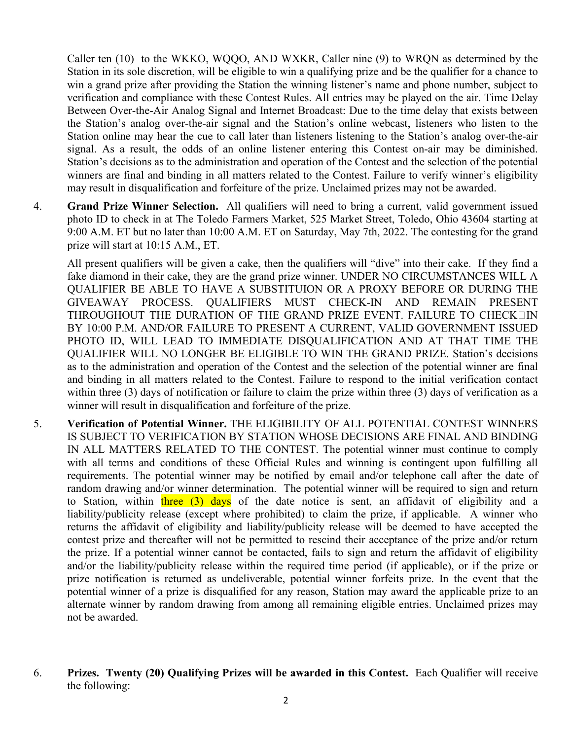Caller ten (10) to the WKKO, WQQO, AND WXKR, Caller nine (9) to WRQN as determined by the Station in its sole discretion, will be eligible to win a qualifying prize and be the qualifier for a chance to win a grand prize after providing the Station the winning listener's name and phone number, subject to verification and compliance with these Contest Rules. All entries may be played on the air. Time Delay Between Over-the-Air Analog Signal and Internet Broadcast: Due to the time delay that exists between the Station's analog over-the-air signal and the Station's online webcast, listeners who listen to the Station online may hear the cue to call later than listeners listening to the Station's analog over-the-air signal. As a result, the odds of an online listener entering this Contest on-air may be diminished. Station's decisions as to the administration and operation of the Contest and the selection of the potential winners are final and binding in all matters related to the Contest. Failure to verify winner's eligibility may result in disqualification and forfeiture of the prize. Unclaimed prizes may not be awarded.

4. **Grand Prize Winner Selection.** All qualifiers will need to bring a current, valid government issued photo ID to check in at The Toledo Farmers Market, 525 Market Street, Toledo, Ohio 43604 starting at 9:00 A.M. ET but no later than 10:00 A.M. ET on Saturday, May 7th, 2022. The contesting for the grand prize will start at 10:15 A.M., ET.

All present qualifiers will be given a cake, then the qualifiers will "dive" into their cake. If they find a fake diamond in their cake, they are the grand prize winner. UNDER NO CIRCUMSTANCES WILL A QUALIFIER BE ABLE TO HAVE A SUBSTITUION OR A PROXY BEFORE OR DURING THE GIVEAWAY PROCESS. QUALIFIERS MUST CHECK-IN AND REMAIN PRESENT THROUGHOUT THE DURATION OF THE GRAND PRIZE EVENT. FAILURE TO CHECK $\square$ IN BY 10:00 P.M. AND/OR FAILURE TO PRESENT A CURRENT, VALID GOVERNMENT ISSUED PHOTO ID, WILL LEAD TO IMMEDIATE DISQUALIFICATION AND AT THAT TIME THE QUALIFIER WILL NO LONGER BE ELIGIBLE TO WIN THE GRAND PRIZE. Station's decisions as to the administration and operation of the Contest and the selection of the potential winner are final and binding in all matters related to the Contest. Failure to respond to the initial verification contact within three (3) days of notification or failure to claim the prize within three (3) days of verification as a winner will result in disqualification and forfeiture of the prize.

- 5. **Verification of Potential Winner.** THE ELIGIBILITY OF ALL POTENTIAL CONTEST WINNERS IS SUBJECT TO VERIFICATION BY STATION WHOSE DECISIONS ARE FINAL AND BINDING IN ALL MATTERS RELATED TO THE CONTEST. The potential winner must continue to comply with all terms and conditions of these Official Rules and winning is contingent upon fulfilling all requirements. The potential winner may be notified by email and/or telephone call after the date of random drawing and/or winner determination. The potential winner will be required to sign and return to Station, within three  $(3)$  days of the date notice is sent, an affidavit of eligibility and a liability/publicity release (except where prohibited) to claim the prize, if applicable. A winner who returns the affidavit of eligibility and liability/publicity release will be deemed to have accepted the contest prize and thereafter will not be permitted to rescind their acceptance of the prize and/or return the prize. If a potential winner cannot be contacted, fails to sign and return the affidavit of eligibility and/or the liability/publicity release within the required time period (if applicable), or if the prize or prize notification is returned as undeliverable, potential winner forfeits prize. In the event that the potential winner of a prize is disqualified for any reason, Station may award the applicable prize to an alternate winner by random drawing from among all remaining eligible entries. Unclaimed prizes may not be awarded.
- 6. **Prizes. Twenty (20) Qualifying Prizes will be awarded in this Contest.** Each Qualifier will receive the following: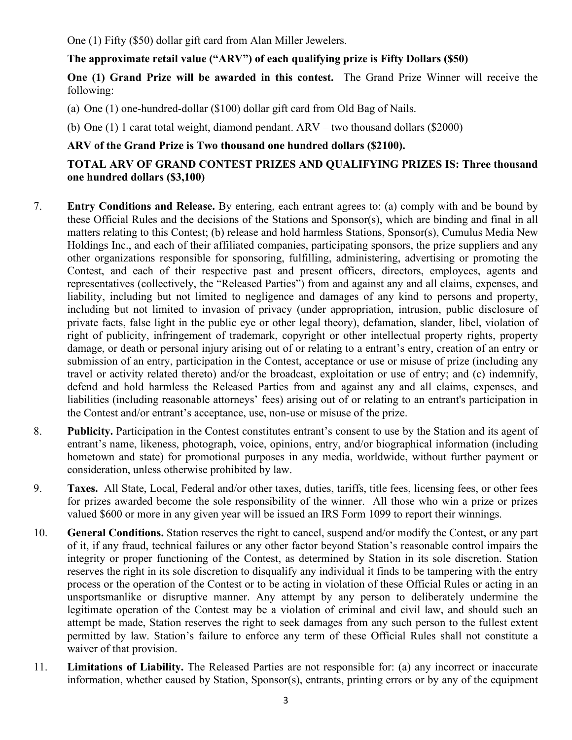One (1) Fifty (\$50) dollar gift card from Alan Miller Jewelers.

# **The approximate retail value ("ARV") of each qualifying prize is Fifty Dollars (\$50)**

**One (1) Grand Prize will be awarded in this contest.** The Grand Prize Winner will receive the following:

(a) One (1) one-hundred-dollar (\$100) dollar gift card from Old Bag of Nails.

(b) One (1) 1 carat total weight, diamond pendant. ARV – two thousand dollars (\$2000)

## **ARV of the Grand Prize is Two thousand one hundred dollars (\$2100).**

## **TOTAL ARV OF GRAND CONTEST PRIZES AND QUALIFYING PRIZES IS: Three thousand one hundred dollars (\$3,100)**

- 7. **Entry Conditions and Release.** By entering, each entrant agrees to: (a) comply with and be bound by these Official Rules and the decisions of the Stations and Sponsor(s), which are binding and final in all matters relating to this Contest; (b) release and hold harmless Stations, Sponsor(s), Cumulus Media New Holdings Inc., and each of their affiliated companies, participating sponsors, the prize suppliers and any other organizations responsible for sponsoring, fulfilling, administering, advertising or promoting the Contest, and each of their respective past and present officers, directors, employees, agents and representatives (collectively, the "Released Parties") from and against any and all claims, expenses, and liability, including but not limited to negligence and damages of any kind to persons and property, including but not limited to invasion of privacy (under appropriation, intrusion, public disclosure of private facts, false light in the public eye or other legal theory), defamation, slander, libel, violation of right of publicity, infringement of trademark, copyright or other intellectual property rights, property damage, or death or personal injury arising out of or relating to a entrant's entry, creation of an entry or submission of an entry, participation in the Contest, acceptance or use or misuse of prize (including any travel or activity related thereto) and/or the broadcast, exploitation or use of entry; and (c) indemnify, defend and hold harmless the Released Parties from and against any and all claims, expenses, and liabilities (including reasonable attorneys' fees) arising out of or relating to an entrant's participation in the Contest and/or entrant's acceptance, use, non-use or misuse of the prize.
- 8. **Publicity.** Participation in the Contest constitutes entrant's consent to use by the Station and its agent of entrant's name, likeness, photograph, voice, opinions, entry, and/or biographical information (including hometown and state) for promotional purposes in any media, worldwide, without further payment or consideration, unless otherwise prohibited by law.
- 9. **Taxes.** All State, Local, Federal and/or other taxes, duties, tariffs, title fees, licensing fees, or other fees for prizes awarded become the sole responsibility of the winner. All those who win a prize or prizes valued \$600 or more in any given year will be issued an IRS Form 1099 to report their winnings.
- 10. **General Conditions.** Station reserves the right to cancel, suspend and/or modify the Contest, or any part of it, if any fraud, technical failures or any other factor beyond Station's reasonable control impairs the integrity or proper functioning of the Contest, as determined by Station in its sole discretion. Station reserves the right in its sole discretion to disqualify any individual it finds to be tampering with the entry process or the operation of the Contest or to be acting in violation of these Official Rules or acting in an unsportsmanlike or disruptive manner. Any attempt by any person to deliberately undermine the legitimate operation of the Contest may be a violation of criminal and civil law, and should such an attempt be made, Station reserves the right to seek damages from any such person to the fullest extent permitted by law. Station's failure to enforce any term of these Official Rules shall not constitute a waiver of that provision.
- 11. **Limitations of Liability.** The Released Parties are not responsible for: (a) any incorrect or inaccurate information, whether caused by Station, Sponsor(s), entrants, printing errors or by any of the equipment